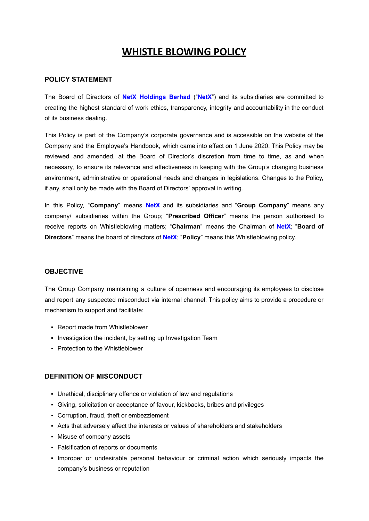# **WHISTLE BLOWING POLICY**

### **POLICY STATEMENT**

The Board of Directors of **NetX Holdings Berhad** ("**NetX**") and its subsidiaries are committed to creating the highest standard of work ethics, transparency, integrity and accountability in the conduct of its business dealing.

This Policy is part of the Company's corporate governance and is accessible on the website of the Company and the Employee's Handbook, which came into effect on 1 June 2020. This Policy may be reviewed and amended, at the Board of Director's discretion from time to time, as and when necessary, to ensure its relevance and effectiveness in keeping with the Group's changing business environment, administrative or operational needs and changes in legislations. Changes to the Policy, if any, shall only be made with the Board of Directors' approval in writing.

In this Policy, "**Company**" means **NetX** and its subsidiaries and "**Group Company**" means any company/ subsidiaries within the Group; "**Prescribed Officer**" means the person authorised to receive reports on Whistleblowing matters; "**Chairman**" means the Chairman of **NetX**; "**Board of Directors**" means the board of directors of **NetX**; "**Policy**" means this Whistleblowing policy.

#### **OBJECTIVE**

The Group Company maintaining a culture of openness and encouraging its employees to disclose and report any suspected misconduct via internal channel. This policy aims to provide a procedure or mechanism to support and facilitate:

- Report made from Whistleblower
- Investigation the incident, by setting up Investigation Team
- Protection to the Whistleblower

#### **DEFINITION OF MISCONDUCT**

- Unethical, disciplinary offence or violation of law and regulations
- Giving, solicitation or acceptance of favour, kickbacks, bribes and privileges
- Corruption, fraud, theft or embezzlement
- Acts that adversely affect the interests or values of shareholders and stakeholders
- Misuse of company assets
- Falsification of reports or documents
- Improper or undesirable personal behaviour or criminal action which seriously impacts the company's business or reputation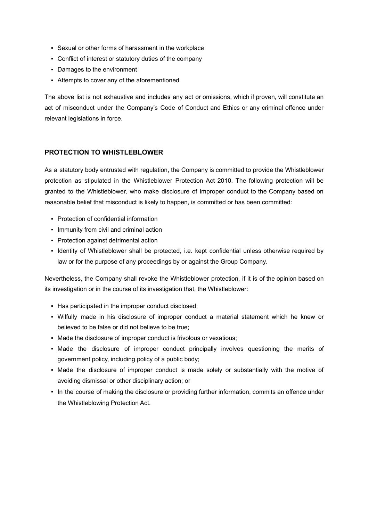- Sexual or other forms of harassment in the workplace
- Conflict of interest or statutory duties of the company
- Damages to the environment
- Attempts to cover any of the aforementioned

The above list is not exhaustive and includes any act or omissions, which if proven, will constitute an act of misconduct under the Company's Code of Conduct and Ethics or any criminal offence under relevant legislations in force.

#### **PROTECTION TO WHISTLEBLOWER**

As a statutory body entrusted with regulation, the Company is committed to provide the Whistleblower protection as stipulated in the Whistleblower Protection Act 2010. The following protection will be granted to the Whistleblower, who make disclosure of improper conduct to the Company based on reasonable belief that misconduct is likely to happen, is committed or has been committed:

- Protection of confidential information
- Immunity from civil and criminal action
- Protection against detrimental action
- Identity of Whistleblower shall be protected, i.e. kept confidential unless otherwise required by law or for the purpose of any proceedings by or against the Group Company.

Nevertheless, the Company shall revoke the Whistleblower protection, if it is of the opinion based on its investigation or in the course of its investigation that, the Whistleblower:

- Has participated in the improper conduct disclosed;
- Wilfully made in his disclosure of improper conduct a material statement which he knew or believed to be false or did not believe to be true;
- Made the disclosure of improper conduct is frivolous or vexatious;
- Made the disclosure of improper conduct principally involves questioning the merits of government policy, including policy of a public body;
- Made the disclosure of improper conduct is made solely or substantially with the motive of avoiding dismissal or other disciplinary action; or
- In the course of making the disclosure or providing further information, commits an offence under the Whistleblowing Protection Act.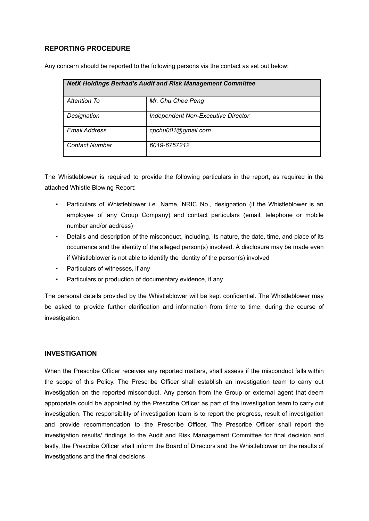## **REPORTING PROCEDURE**

Any concern should be reported to the following persons via the contact as set out below:

| <b>NetX Holdings Berhad's Audit and Risk Management Committee</b> |                                    |  |
|-------------------------------------------------------------------|------------------------------------|--|
| Attention To                                                      | Mr. Chu Chee Peng                  |  |
| Designation                                                       | Independent Non-Executive Director |  |
| <b>Email Address</b>                                              | cpchu001@gmail.com                 |  |
| <b>Contact Number</b>                                             | 6019-6757212                       |  |

The Whistleblower is required to provide the following particulars in the report, as required in the attached Whistle Blowing Report:

- Particulars of Whistleblower i.e. Name, NRIC No., designation (if the Whistleblower is an employee of any Group Company) and contact particulars (email, telephone or mobile number and/or address)
- Details and description of the misconduct, including, its nature, the date, time, and place of its occurrence and the identity of the alleged person(s) involved. A disclosure may be made even if Whistleblower is not able to identify the identity of the person(s) involved
- Particulars of witnesses, if any
- Particulars or production of documentary evidence, if any

The personal details provided by the Whistleblower will be kept confidential. The Whistleblower may be asked to provide further clarification and information from time to time, during the course of investigation.

#### **INVESTIGATION**

When the Prescribe Officer receives any reported matters, shall assess if the misconduct falls within the scope of this Policy. The Prescribe Officer shall establish an investigation team to carry out investigation on the reported misconduct. Any person from the Group or external agent that deem appropriate could be appointed by the Prescribe Officer as part of the investigation team to carry out investigation. The responsibility of investigation team is to report the progress, result of investigation and provide recommendation to the Prescribe Officer. The Prescribe Officer shall report the investigation results/ findings to the Audit and Risk Management Committee for final decision and lastly, the Prescribe Officer shall inform the Board of Directors and the Whistleblower on the results of investigations and the final decisions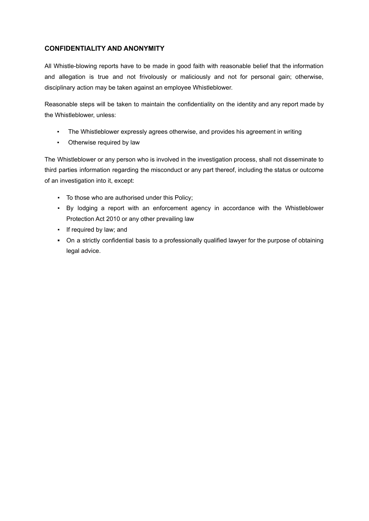# **CONFIDENTIALITY AND ANONYMITY**

All Whistle-blowing reports have to be made in good faith with reasonable belief that the information and allegation is true and not frivolously or maliciously and not for personal gain; otherwise, disciplinary action may be taken against an employee Whistleblower.

Reasonable steps will be taken to maintain the confidentiality on the identity and any report made by the Whistleblower, unless:

- The Whistleblower expressly agrees otherwise, and provides his agreement in writing
- Otherwise required by law

The Whistleblower or any person who is involved in the investigation process, shall not disseminate to third parties information regarding the misconduct or any part thereof, including the status or outcome of an investigation into it, except:

- To those who are authorised under this Policy;
- By lodging a report with an enforcement agency in accordance with the Whistleblower Protection Act 2010 or any other prevailing law
- If required by law; and
- **▪** On a strictly confidential basis to a professionally qualified lawyer for the purpose of obtaining legal advice.